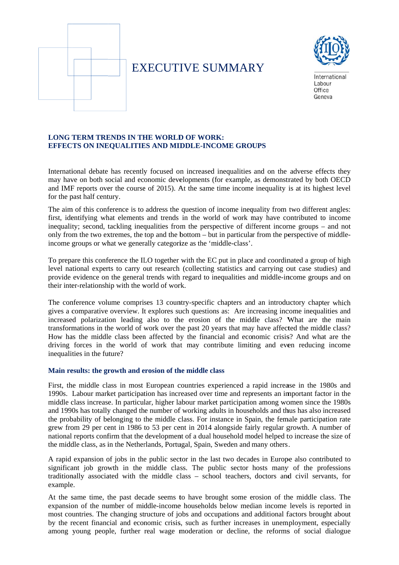

# **EXECUTIVE SUMMARY**



International Labour  $Offica$ Geneva

# **LONG TERM TRENDS IN THE WORLD OF WORK: EFFECTS ON INEQUALITIES AND MIDDLE-INCOME GROUPS**

International debate has recently focused on increased inequalities and on the adverse effects they may have on both social and economic developments (for example, as demonstrated by both OECD and IMF reports over the course of 2015). At the same time income inequality is at its highest level for the past half century.

The aim of this conference is to address the question of income inequality from two different angles: first, identifying what elements and trends in the world of work may have contributed to income inequality; second, tackling inequalities from the perspective of different income groups – and not only from the two extremes, the top and the bottom – but in particular from the perspective of middleincome groups or what we generally categorize as the 'middle-class'.

To prepare this conference the ILO together with the EC put in place and coordinated a group of high level national experts to carry out research (collecting statistics and carrying out case studies) and provide evidence on the general trends with regard to inequalities and middle-income groups and on their inter-relationship with the world of work.

The conference volume comprises 13 country-specific chapters and an introductory chapter which gives a comparative overview. It explores such questions as: Are increasing income inequalities and increased polarization leading also to the erosion of the middle class? What are the main transformations in the world of work over the past 20 years that may have affected the middle class? How has the middle class been affected by the financial and economic crisis? And what are the driving forces in the world of work that may contribute limiting and even reducing income inequalities in the future?

## Main results: the growth and erosion of the middle class

First, the middle class in most European countries experienced a rapid increase in the 1980s and 1990s. Labour market participation has increased over time and represents an important factor in the middle class increase. In particular, higher labour market participation among women since the 1980s and 1990s has totally changed the number of working adults in households and thus has also increased the probability of belonging to the middle class. For instance in Spain, the female participation rate grew from 29 per cent in 1986 to 53 per cent in 2014 alongside fairly regular growth. A number of national reports confirm that the development of a dual household model helped to increase the size of the middle class, as in the Netherlands, Portugal, Spain, Sweden and many others.

A rapid expansion of jobs in the public sector in the last two decades in Europe also contributed to significant job growth in the middle class. The public sector hosts many of the professions traditionally associated with the middle class – school teachers, doctors and civil servants, for example.

At the same time, the past decade seems to have brought some erosion of the middle class. The expansion of the number of middle-income households below median income levels is reported in most countries. The changing structure of jobs and occupations and additional factors brought about by the recent financial and economic crisis, such as further increases in unemployment, especially among young people, further real wage moderation or decline, the reforms of social dialogue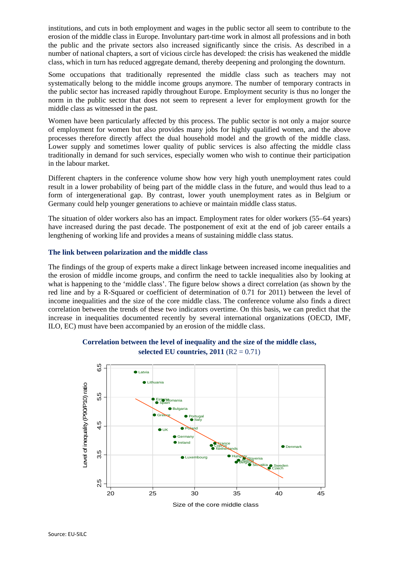institutions, and cuts in both employment and wages in the public sector all seem to contribute to the erosion of the middle class in Europe. Involuntary part-time work in almost all professions and in both the public and the private sectors also increased significantly since the crisis. As described in a number of national chapters, a sort of vicious circle has developed: the crisis has weakened the middle class, which in turn has reduced aggregate demand, thereby deepening and prolonging the downturn.

Some occupations that traditionally represented the middle class such as teachers may not systematically belong to the middle income groups anymore. The number of temporary contracts in the public sector has increased rapidly throughout Europe. Employment security is thus no longer the norm in the public sector that does not seem to represent a lever for employment growth for the middle class as witnessed in the past.

Women have been particularly affected by this process. The public sector is not only a major source of employment for women but also provides many jobs for highly qualified women, and the above processes therefore directly affect the dual household model and the growth of the middle class. Lower supply and sometimes lower quality of public services is also affecting the middle class traditionally in demand for such services, especially women who wish to continue their participation in the labour market.

Different chapters in the conference volume show how very high youth unemployment rates could result in a lower probability of being part of the middle class in the future, and would thus lead to a form of intergenerational gap. By contrast, lower youth unemployment rates as in Belgium or Germany could help younger generations to achieve or maintain middle class status.

The situation of older workers also has an impact. Employment rates for older workers (55–64 years) have increased during the past decade. The postponement of exit at the end of job career entails a lengthening of working life and provides a means of sustaining middle class status.

### **The link between polarization and the middle class**

The findings of the group of experts make a direct linkage between increased income inequalities and the erosion of middle income groups, and confirm the need to tackle inequalities also by looking at what is happening to the 'middle class'. The figure below shows a direct correlation (as shown by the red line and by a R-Squared or coefficient of determination of 0.71 for 2011) between the level of income inequalities and the size of the core middle class. The conference volume also finds a direct correlation between the trends of these two indicators overtime. On this basis, we can predict that the increase in inequalities documented recently by several international organizations (OECD, IMF, ILO, EC) must have been accompanied by an erosion of the middle class.



**Correlation between the level of inequality and the size of the middle class, selected EU countries, 2011** (R2 = 0.71)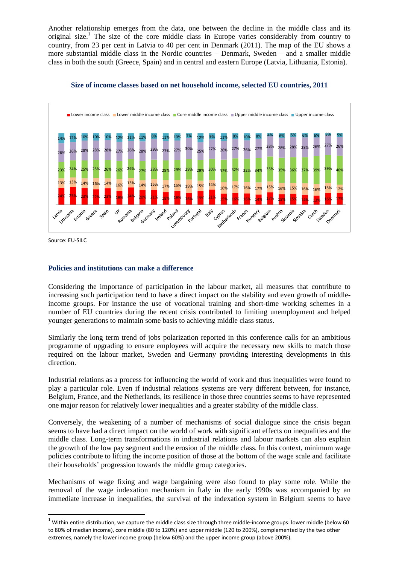Another relationship emerges from the data, one between the decline in the middle class and its original size.<sup>1</sup> The size of the core middle class in Europe varies considerably from country to country, from 23 per cent in Latvia to 40 per cent in Denmark (2011). The map of the EU shows a more substantial middle class in the Nordic countries – Denmark, Sweden – and a smaller middle class in both the south (Greece, Spain) and in central and eastern Europe (Latvia, Lithuania, Estonia).



**Size of income classes based on net household income, selected EU countries, 2011** 

Source: EU‐SILC

### **Policies and institutions can make a difference**

Considering the importance of participation in the labour market, all measures that contribute to increasing such participation tend to have a direct impact on the stability and even growth of middleincome groups. For instance the use of vocational training and short-time working schemes in a number of EU countries during the recent crisis contributed to limiting unemployment and helped younger generations to maintain some basis to achieving middle class status.

Similarly the long term trend of jobs polarization reported in this conference calls for an ambitious programme of upgrading to ensure employees will acquire the necessary new skills to match those required on the labour market, Sweden and Germany providing interesting developments in this direction.

Industrial relations as a process for influencing the world of work and thus inequalities were found to play a particular role. Even if industrial relations systems are very different between, for instance, Belgium, France, and the Netherlands, its resilience in those three countries seems to have represented one major reason for relatively lower inequalities and a greater stability of the middle class.

Conversely, the weakening of a number of mechanisms of social dialogue since the crisis began seems to have had a direct impact on the world of work with significant effects on inequalities and the middle class. Long-term transformations in industrial relations and labour markets can also explain the growth of the low pay segment and the erosion of the middle class. In this context, minimum wage policies contribute to lifting the income position of those at the bottom of the wage scale and facilitate their households' progression towards the middle group categories.

Mechanisms of wage fixing and wage bargaining were also found to play some role. While the removal of the wage indexation mechanism in Italy in the early 1990s was accompanied by an immediate increase in inequalities, the survival of the indexation system in Belgium seems to have

 $1$  Within entire distribution, we capture the middle class size through three middle-income groups: lower middle (below 60 to 80% of median income), core middle (80 to 120%) and upper middle (120 to 200%), complemented by the two other extremes, namely the lower income group (below 60%) and the upper income group (above 200%).